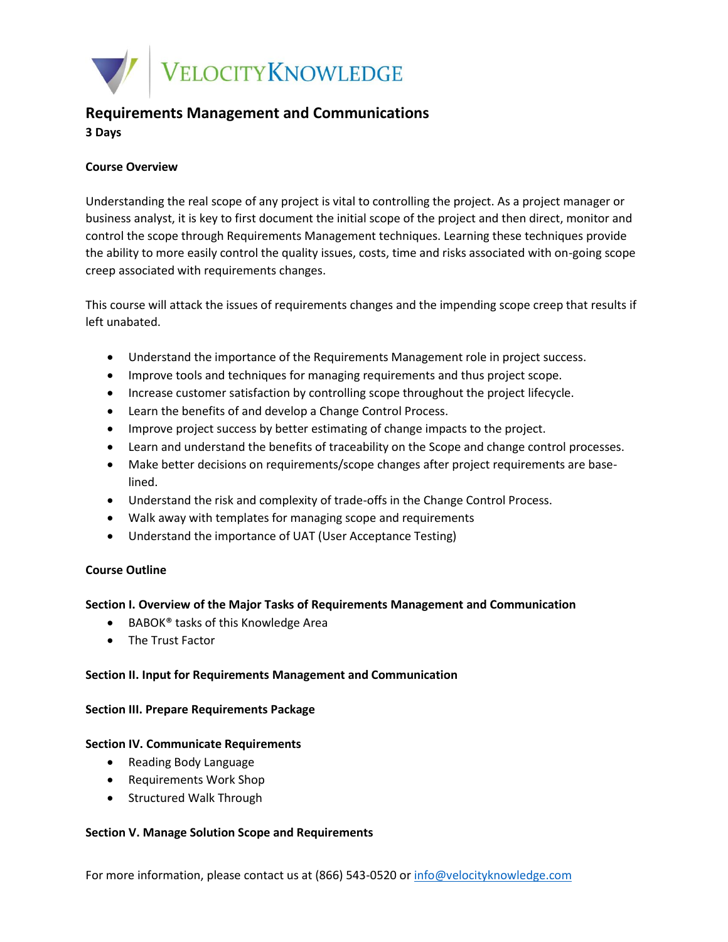

# **Requirements Management and Communications 3 Days**

# **Course Overview**

Understanding the real scope of any project is vital to controlling the project. As a project manager or business analyst, it is key to first document the initial scope of the project and then direct, monitor and control the scope through Requirements Management techniques. Learning these techniques provide the ability to more easily control the quality issues, costs, time and risks associated with on-going scope creep associated with requirements changes.

This course will attack the issues of requirements changes and the impending scope creep that results if left unabated.

- Understand the importance of the Requirements Management role in project success.
- Improve tools and techniques for managing requirements and thus project scope.
- Increase customer satisfaction by controlling scope throughout the project lifecycle.
- Learn the benefits of and develop a Change Control Process.
- Improve project success by better estimating of change impacts to the project.
- Learn and understand the benefits of traceability on the Scope and change control processes.
- Make better decisions on requirements/scope changes after project requirements are baselined.
- Understand the risk and complexity of trade-offs in the Change Control Process.
- Walk away with templates for managing scope and requirements
- Understand the importance of UAT (User Acceptance Testing)

# **Course Outline**

# **Section I. Overview of the Major Tasks of Requirements Management and Communication**

- BABOK<sup>®</sup> tasks of this Knowledge Area
- The Trust Factor

# **Section II. Input for Requirements Management and Communication**

#### **Section III. Prepare Requirements Package**

# **Section IV. Communicate Requirements**

- Reading Body Language
- Requirements Work Shop
- Structured Walk Through

# **Section V. Manage Solution Scope and Requirements**

For more information, please contact us at (866) 543-0520 or [info@velocityknowledge.com](mailto:info@velocityknowledge.com)